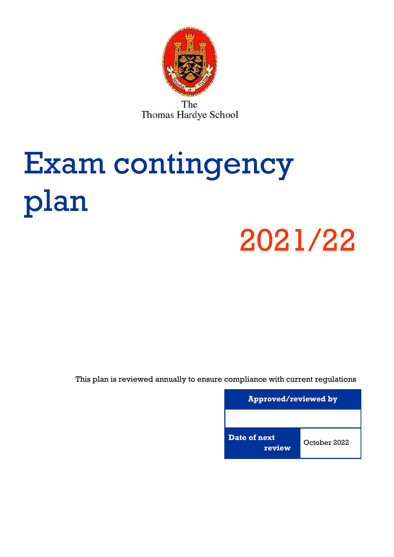

The Thomas Hardye School

# Exam contingency plan

## 2021/22

This plan is reviewed annually to ensure compliance with current regulations

**Approved/reviewed by Date of next review** October 2022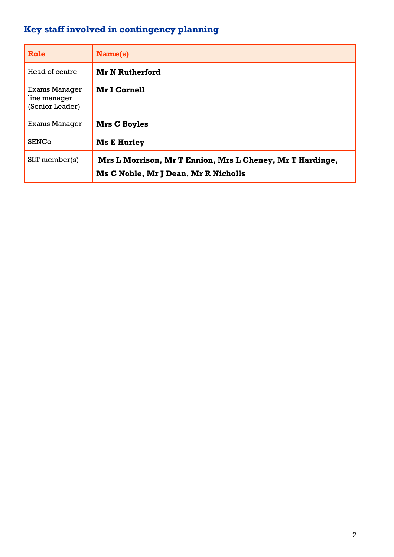## <span id="page-1-0"></span>**Key staff involved in contingency planning**

| Role                                             | Name(s)                                                                                           |
|--------------------------------------------------|---------------------------------------------------------------------------------------------------|
| Head of centre                                   | <b>Mr N Rutherford</b>                                                                            |
| Exams Manager<br>line manager<br>(Senior Leader) | <b>Mr I Cornell</b>                                                                               |
| Exams Manager                                    | Mrs C Boyles                                                                                      |
| <b>SENCo</b>                                     | <b>Ms E Hurley</b>                                                                                |
| $SLT$ member(s)                                  | Mrs L Morrison, Mr T Ennion, Mrs L Cheney, Mr T Hardinge,<br>Ms C Noble, Mr J Dean, Mr R Nicholls |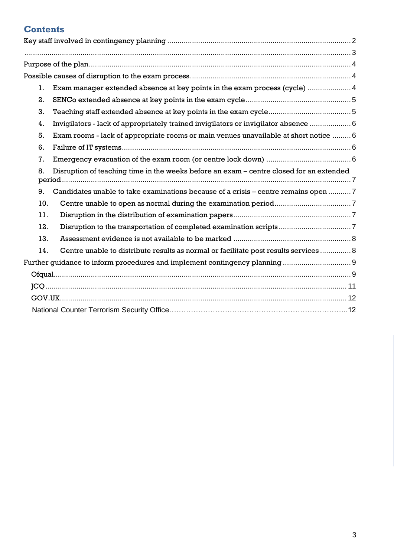## <span id="page-2-0"></span>**Contents**

| 1.  | Exam manager extended absence at key points in the exam process (cycle)  4              |  |
|-----|-----------------------------------------------------------------------------------------|--|
| 2.  |                                                                                         |  |
| 3.  |                                                                                         |  |
| 4.  | Invigilators - lack of appropriately trained invigilators or invigilator absence  6     |  |
| 5.  | Exam rooms - lack of appropriate rooms or main venues unavailable at short notice  6    |  |
| 6.  |                                                                                         |  |
| 7.  |                                                                                         |  |
| 8.  | Disruption of teaching time in the weeks before an exam – centre closed for an extended |  |
| 9.  | Candidates unable to take examinations because of a crisis – centre remains open 7      |  |
| 10. |                                                                                         |  |
| 11. |                                                                                         |  |
| 12. |                                                                                         |  |
| 13. |                                                                                         |  |
| 14. | Centre unable to distribute results as normal or facilitate post results services  8    |  |
|     |                                                                                         |  |
|     |                                                                                         |  |
|     |                                                                                         |  |
|     |                                                                                         |  |
|     |                                                                                         |  |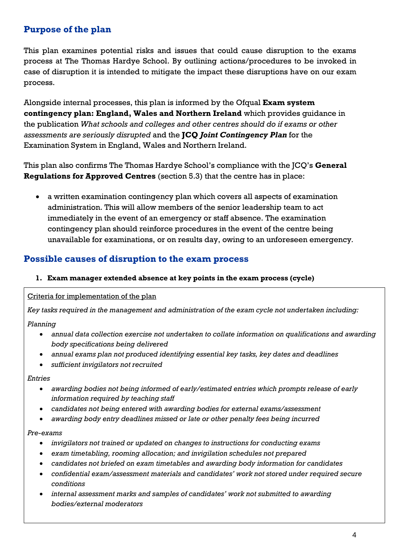## <span id="page-3-0"></span>**Purpose of the plan**

This plan examines potential risks and issues that could cause disruption to the exams process at The Thomas Hardye School. By outlining actions/procedures to be invoked in case of disruption it is intended to mitigate the impact these disruptions have on our exam process.

Alongside internal processes, this plan is informed by the Ofqual **Exam system contingency plan: England, Wales and Northern Ireland** which provides guidance in the publication *What schools and colleges and other centres should do if exams or other assessments are seriously disrupted* and the **JCQ** *Joint Contingency Plan* for the Examination System in England, Wales and Northern Ireland.

This plan also confirms The Thomas Hardye School's compliance with the JCQ's **General Regulations for Approved Centres** (section 5.3) that the centre has in place:

• a written examination contingency plan which covers all aspects of examination administration. This will allow members of the senior leadership team to act immediately in the event of an emergency or staff absence. The examination contingency plan should reinforce procedures in the event of the centre being unavailable for examinations, or on results day, owing to an unforeseen emergency*.* 

#### <span id="page-3-1"></span>**Possible causes of disruption to the exam process**

#### <span id="page-3-2"></span>**1. Exam manager extended absence at key points in the exam process (cycle)**

Criteria for implementation of the plan

*Key tasks required in the management and administration of the exam cycle not undertaken including:*

*Planning*

- *annual data collection exercise not undertaken to collate information on qualifications and awarding body specifications being delivered*
- *annual exams plan not produced identifying essential key tasks, key dates and deadlines*
- *sufficient invigilators not recruited*

*Entries*

- *awarding bodies not being informed of early/estimated entries which prompts release of early information required by teaching staff*
- *candidates not being entered with awarding bodies for external exams/assessment*
- *awarding body entry deadlines missed or late or other penalty fees being incurred*

#### *Pre-exams*

- *invigilators not trained or updated on changes to instructions for conducting exams*
- *exam timetabling, rooming allocation; and invigilation schedules not prepared*
- *candidates not briefed on exam timetables and awarding body information for candidates*
- *confidential exam/assessment materials and candidates' work not stored under required secure conditions*
- *internal assessment marks and samples of candidates' work not submitted to awarding bodies/external moderators*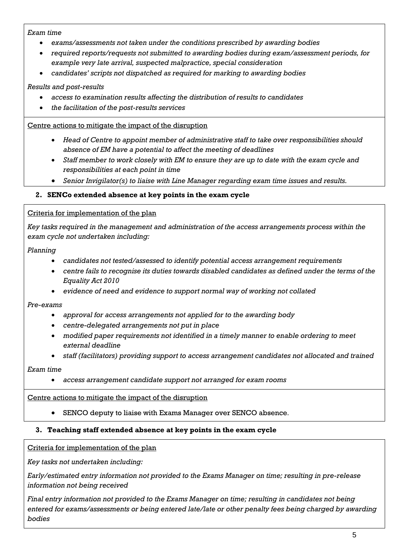#### *Exam time*

- *exams/assessments not taken under the conditions prescribed by awarding bodies*
- *required reports/requests not submitted to awarding bodies during exam/assessment periods, for example very late arrival, suspected malpractice, special consideration*
- *candidates' scripts not dispatched as required for marking to awarding bodies*

#### *Results and post-results*

- *access to examination results affecting the distribution of results to candidates*
- *the facilitation of the post-results services*

#### Centre actions to mitigate the impact of the disruption

- *Head of Centre to appoint member of administrative staff to take over responsibilities should absence of EM have a potential to affect the meeting of deadlines*
- *Staff member to work closely with EM to ensure they are up to date with the exam cycle and responsibilities at each point in time*
- *Senior Invigilator(s) to liaise with Line Manager regarding exam time issues and results.*

#### <span id="page-4-0"></span>**2. SENCo extended absence at key points in the exam cycle**

#### Criteria for implementation of the plan

*Key tasks required in the management and administration of the access arrangements process within the exam cycle not undertaken including:*

#### *Planning*

- *candidates not tested/assessed to identify potential access arrangement requirements*
- *centre fails to recognise its duties towards disabled candidates as defined under the terms of the Equality Act 2010*
- *evidence of need and evidence to support normal way of working not collated*

#### *Pre-exams*

- *approval for access arrangements not applied for to the awarding body*
- *centre-delegated arrangements not put in place*
- *modified paper requirements not identified in a timely manner to enable ordering to meet external deadline*
- *staff (facilitators) providing support to access arrangement candidates not allocated and trained*

#### *Exam time*

• *access arrangement candidate support not arranged for exam rooms*

#### Centre actions to mitigate the impact of the disruption

• SENCO deputy to liaise with Exams Manager over SENCO absence.

#### <span id="page-4-1"></span>**3. Teaching staff extended absence at key points in the exam cycle**

#### Criteria for implementation of the plan

*Key tasks not undertaken including:*

*Early/estimated entry information not provided to the Exams Manager on time; resulting in pre-release information not being received*

*Final entry information not provided to the Exams Manager on time; resulting in candidates not being entered for exams/assessments or being entered late/late or other penalty fees being charged by awarding bodies*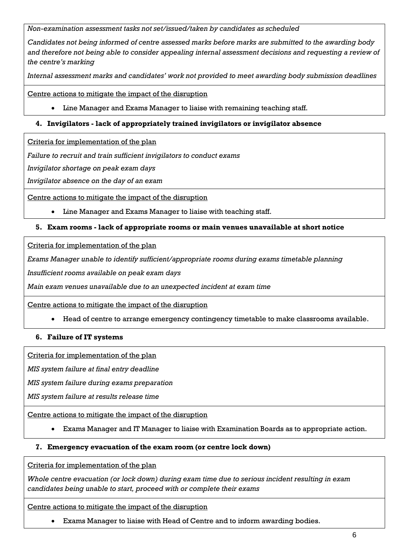*Non-examination assessment tasks not set/issued/taken by candidates as scheduled*

*Candidates not being informed of centre assessed marks before marks are submitted to the awarding body and therefore not being able to consider appealing internal assessment decisions and requesting a review of the centre's marking*

*Internal assessment marks and candidates' work not provided to meet awarding body submission deadlines*

Centre actions to mitigate the impact of the disruption

• Line Manager and Exams Manager to liaise with remaining teaching staff.

#### <span id="page-5-0"></span>**4. Invigilators - lack of appropriately trained invigilators or invigilator absence**

Criteria for implementation of the plan

*Failure to recruit and train sufficient invigilators to conduct exams*

*Invigilator shortage on peak exam days*

*Invigilator absence on the day of an exam*

Centre actions to mitigate the impact of the disruption

• Line Manager and Exams Manager to liaise with teaching staff.

#### <span id="page-5-1"></span>**5. Exam rooms - lack of appropriate rooms or main venues unavailable at short notice**

Criteria for implementation of the plan

*Exams Manager unable to identify sufficient/appropriate rooms during exams timetable planning*

*Insufficient rooms available on peak exam days*

*Main exam venues unavailable due to an unexpected incident at exam time*

Centre actions to mitigate the impact of the disruption

• Head of centre to arrange emergency contingency timetable to make classrooms available.

#### <span id="page-5-2"></span>**6. Failure of IT systems**

Criteria for implementation of the plan

*MIS system failure at final entry deadline*

*MIS system failure during exams preparation*

*MIS system failure at results release time*

Centre actions to mitigate the impact of the disruption

• Exams Manager and IT Manager to liaise with Examination Boards as to appropriate action.

#### <span id="page-5-3"></span>**7. Emergency evacuation of the exam room (or centre lock down)**

Criteria for implementation of the plan

*Whole centre evacuation (or lock down) during exam time due to serious incident resulting in exam candidates being unable to start, proceed with or complete their exams*

#### Centre actions to mitigate the impact of the disruption

• Exams Manager to liaise with Head of Centre and to inform awarding bodies.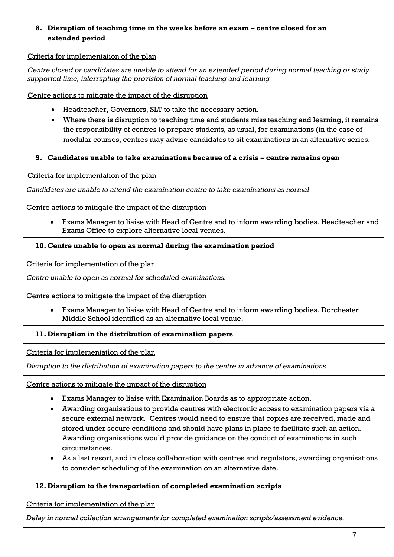#### <span id="page-6-0"></span>**8. Disruption of teaching time in the weeks before an exam – centre closed for an extended period**

#### Criteria for implementation of the plan

*Centre closed or candidates are unable to attend for an extended period during normal teaching or study supported time, interrupting the provision of normal teaching and learning*

Centre actions to mitigate the impact of the disruption

- Headteacher, Governors, SLT to take the necessary action.
- Where there is disruption to teaching time and students miss teaching and learning, it remains the responsibility of centres to prepare students, as usual, for examinations (in the case of modular courses, centres may advise candidates to sit examinations in an alternative series.

#### <span id="page-6-1"></span>**9. Candidates unable to take examinations because of a crisis – centre remains open**

Criteria for implementation of the plan

*Candidates are unable to attend the examination centre to take examinations as normal*

Centre actions to mitigate the impact of the disruption

• Exams Manager to liaise with Head of Centre and to inform awarding bodies. Headteacher and Exams Office to explore alternative local venues.

#### <span id="page-6-2"></span>**10.Centre unable to open as normal during the examination period**

Criteria for implementation of the plan

*Centre unable to open as normal for scheduled examinations.*

Centre actions to mitigate the impact of the disruption

• Exams Manager to liaise with Head of Centre and to inform awarding bodies. Dorchester Middle School identified as an alternative local venue.

#### <span id="page-6-3"></span>**11. Disruption in the distribution of examination papers**

Criteria for implementation of the plan

*Disruption to the distribution of examination papers to the centre in advance of examinations*

Centre actions to mitigate the impact of the disruption

- Exams Manager to liaise with Examination Boards as to appropriate action.
- Awarding organisations to provide centres with electronic access to examination papers via a secure external network. Centres would need to ensure that copies are received, made and stored under secure conditions and should have plans in place to facilitate such an action. Awarding organisations would provide guidance on the conduct of examinations in such circumstances.
- As a last resort, and in close collaboration with centres and regulators, awarding organisations to consider scheduling of the examination on an alternative date.

#### <span id="page-6-4"></span>**12. Disruption to the transportation of completed examination scripts**

Criteria for implementation of the plan

*Delay in normal collection arrangements for completed examination scripts/assessment evidence.*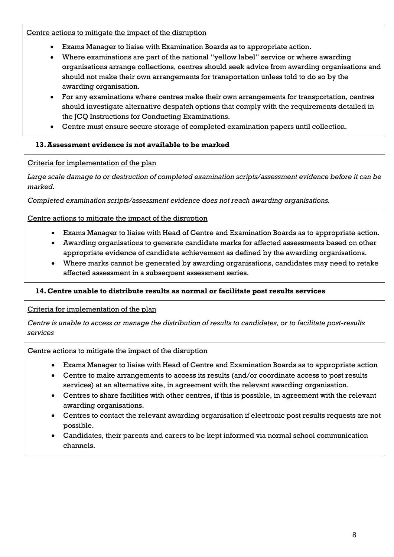Centre actions to mitigate the impact of the disruption

- Exams Manager to liaise with Examination Boards as to appropriate action.
- Where examinations are part of the national "yellow label" service or where awarding organisations arrange collections, centres should seek advice from awarding organisations and should not make their own arrangements for transportation unless told to do so by the awarding organisation.
- For any examinations where centres make their own arrangements for transportation, centres should investigate alternative despatch options that comply with the requirements detailed in the JCQ Instructions for Conducting Examinations.
- Centre must ensure secure storage of completed examination papers until collection.

#### <span id="page-7-0"></span>**13.Assessment evidence is not available to be marked**

#### Criteria for implementation of the plan

*Large scale damage to or destruction of completed examination scripts/assessment evidence before it can be marked.*

*Completed examination scripts/assessment evidence does not reach awarding organisations.*

#### Centre actions to mitigate the impact of the disruption

- Exams Manager to liaise with Head of Centre and Examination Boards as to appropriate action.
- Awarding organisations to generate candidate marks for affected assessments based on other appropriate evidence of candidate achievement as defined by the awarding organisations.
- Where marks cannot be generated by awarding organisations, candidates may need to retake affected assessment in a subsequent assessment series.

#### <span id="page-7-1"></span>**14.Centre unable to distribute results as normal or facilitate post results services**

#### Criteria for implementation of the plan

*Centre is unable to access or manage the distribution of results to candidates, or to facilitate post-results services*

#### Centre actions to mitigate the impact of the disruption

- Exams Manager to liaise with Head of Centre and Examination Boards as to appropriate action
- Centre to make arrangements to access its results (and/or coordinate access to post results services) at an alternative site, in agreement with the relevant awarding organisation.
- Centres to share facilities with other centres, if this is possible, in agreement with the relevant awarding organisations.
- Centres to contact the relevant awarding organisation if electronic post results requests are not possible.
- Candidates, their parents and carers to be kept informed via normal school communication channels.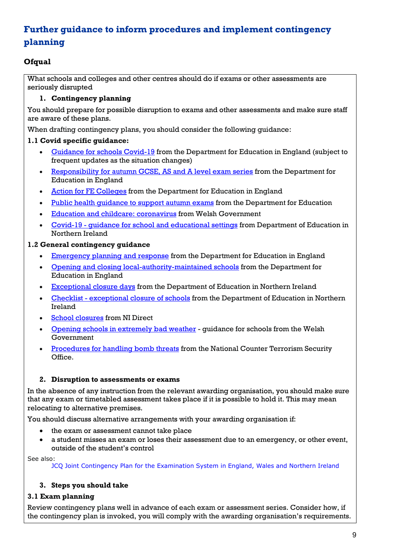## <span id="page-8-0"></span>**Further guidance to inform procedures and implement contingency planning**

#### <span id="page-8-1"></span>**Ofqual**

What schools and colleges and other centres should do if exams or other assessments are seriously disrupted

#### **1. Contingency planning**

You should prepare for possible disruption to exams and other assessments and make sure staff are aware of these plans.

When drafting contingency plans, you should consider the following guidance:

#### **1.1 Covid specific guidance:**

- [Guidance for schools Covid-19](https://www.gov.uk/government/collections/guidance-for-schools-coronavirus-covid-19#safe-working-and-protective-measures) from the Department for Education in England (subject to frequent updates as the situation changes)
- [Responsibility for autumn GCSE, AS and A level exam series](https://www.gov.uk/government/publications/responsibility-for-autumn-gcse-as-and-a-level-exam-series) from the Department for Education in England
- [Action for FE Colleges](https://www.gov.uk/government/publications/coronavirus-covid-19-maintaining-further-education-provision) from the Department for Education in England
- Public health quidance to support autumn exams from the Department for Education
- [Education and childcare: coronavirus](https://gov.wales/education-coronavirus) from Welsh Government
- Covid-19 [guidance for school and educational settings](https://www.education-ni.gov.uk/publications/coronavirus-covid-19-guidance-school-and-educational-settings-northern-ireland) from Department of Education in Northern Ireland

#### **1.2 General contingency guidance**

- [Emergency planning and response](https://www.gov.uk/guidance/emergencies-and-severe-weather-schools-and-early-years-settings) from the Department for Education in England
- [Opening and closing local-authority-maintained schools](https://www.gov.uk/government/publications/school-organisation-maintained-schools) from the Department for Education in England
- [Exceptional closure days](https://www.education-ni.gov.uk/articles/exceptional-closure-days) from the Department of Education in Northern Ireland
- Checklist [exceptional closure of schools](https://www.education-ni.gov.uk/publications/checklist-exceptional-closure-schools) from the Department of Education in Northern Ireland
- [School closures](https://gov.wales/opening-schools-extremely-bad-weather-guidance-schools) from NI Direct
- [Opening schools in extremely bad weather](https://gov.wales/opening-schools-extremely-bad-weather-guidance-schools) guidance for schools from the Welsh Government
- [Procedures for handling bomb threats](https://www.gov.uk/government/publications/bomb-threats-guidance) from the National Counter Terrorism Security Office.

#### **2. Disruption to assessments or exams**

In the absence of any instruction from the relevant awarding organisation, you should make sure that any exam or timetabled assessment takes place if it is possible to hold it. This may mean relocating to alternative premises.

You should discuss alternative arrangements with your awarding organisation if:

- the exam or assessment cannot take place
- a student misses an exam or loses their assessment due to an emergency, or other event, outside of the student's control

See also:

JCQ Joint Contingency Plan for the [Examination](https://www.jcq.org.uk/exams-office/other-documents/jcq-joint-contingency-plan/) System in England, Wales and Northern Ireland

#### **3. Steps you should take**

#### **3.1 Exam planning**

Review contingency plans well in advance of each exam or assessment series. Consider how, if the contingency plan is invoked, you will comply with the awarding organisation's requirements.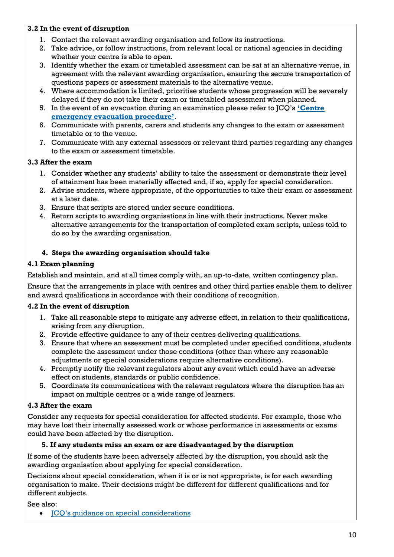#### **3.2 In the event of disruption**

- 1. Contact the relevant awarding organisation and follow its instructions.
- 2. Take advice, or follow instructions, from relevant local or national agencies in deciding whether your centre is able to open.
- 3. Identify whether the exam or timetabled assessment can be sat at an alternative venue, in agreement with the relevant awarding organisation, ensuring the secure transportation of questions papers or assessment materials to the alternative venue.
- 4. Where accommodation is limited, prioritise students whose progression will be severely delayed if they do not take their exam or timetabled assessment when planned.
- 5. In the event of an evacuation during an examination please refer to JCQ's **'[Centre](https://www.jcq.org.uk/exams-office/ice---instructions-for-conducting-examinations/centre-emergency-evacuation-procedure) [emergency](https://www.jcq.org.uk/exams-office/ice---instructions-for-conducting-examinations/centre-emergency-evacuation-procedure) evacuation procedure'**.
- 6. Communicate with parents, carers and students any changes to the exam or assessment timetable or to the venue.
- 7. Communicate with any external assessors or relevant third parties regarding any changes to the exam or assessment timetable.

#### **3.3 After the exam**

- 1. Consider whether any students' ability to take the assessment or demonstrate their level of attainment has been materially affected and, if so, apply for special consideration.
- 2. Advise students, where appropriate, of the opportunities to take their exam or assessment at a later date.
- 3. Ensure that scripts are stored under secure conditions.
- 4. Return scripts to awarding organisations in line with their instructions. Never make alternative arrangements for the transportation of completed exam scripts, unless told to do so by the awarding organisation.

#### **4. Steps the awarding organisation should take**

#### **4.1 Exam planning**

Establish and maintain, and at all times comply with, an up-to-date, written contingency plan.

Ensure that the arrangements in place with centres and other third parties enable them to deliver and award qualifications in accordance with their conditions of recognition.

#### **4.2 In the event of disruption**

- 1. Take all reasonable steps to mitigate any adverse effect, in relation to their qualifications, arising from any disruption.
- 2. Provide effective guidance to any of their centres delivering qualifications.
- 3. Ensure that where an assessment must be completed under specified conditions, students complete the assessment under those conditions (other than where any reasonable adjustments or special considerations require alternative conditions).
- 4. Promptly notify the relevant regulators about any event which could have an adverse effect on students, standards or public confidence.
- 5. Coordinate its communications with the relevant regulators where the disruption has an impact on multiple centres or a wide range of learners.

#### **4.3 After the exam**

Consider any requests for special consideration for affected students. For example, those who may have lost their internally assessed work or whose performance in assessments or exams could have been affected by the disruption.

#### **5. If any students miss an exam or are disadvantaged by the disruption**

If some of the students have been adversely affected by the disruption, you should ask the awarding organisation about applying for special consideration.

Decisions about special consideration, when it is or is not appropriate, is for each awarding organisation to make. Their decisions might be different for different qualifications and for different subjects.

See also:

• JCQ's guidance on special [considerations](https://www.jcq.org.uk/exams-office/access-arrangements-and-special-consideration/regulations-and-guidance)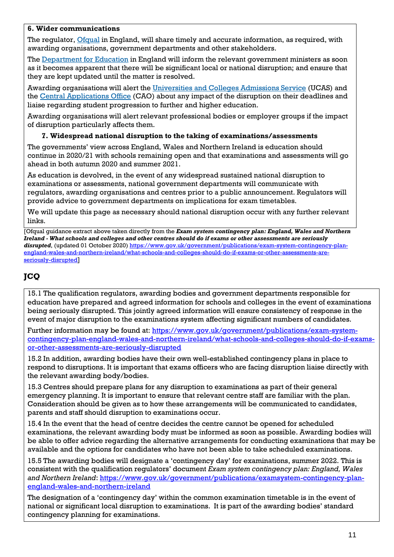#### **6. Wider communications**

The regulator, *Ofqual* in England, will share timely and accurate information, as required, with awarding organisations, government departments and other stakeholders.

The [Department](https://www.gov.uk/government/organisations/department-for-education) for Education in England will inform the relevant government ministers as soon as it becomes apparent that there will be significant local or national disruption; and ensure that they are kept updated until the matter is resolved.

Awarding organisations will alert the [Universities](https://www.ucas.com/) and Colleges Admissions Service (UCAS) and the Central [Applications](http://www.cao.ie/) Office (CAO) about any impact of the disruption on their deadlines and liaise regarding student progression to further and higher education.

Awarding organisations will alert relevant professional bodies or employer groups if the impact of disruption particularly affects them.

#### **7. Widespread national disruption to the taking of examinations/assessments**

The governments' view across England, Wales and Northern Ireland is education should continue in 2020/21 with schools remaining open and that examinations and assessments will go ahead in both autumn 2020 and summer 2021.

As education is devolved, in the event of any widespread sustained national disruption to examinations or assessments, national government departments will communicate with regulators, awarding organisations and centres prior to a public announcement. Regulators will provide advice to government departments on implications for exam timetables.

We will update this page as necessary should national disruption occur with any further relevant links.

[Ofqual guidance extract above taken directly from the *Exam system contingency plan: England, Wales and Northern Ireland - What schools and colleges and other centres should do if exams or other assessments are seriously disrupted*, (updated 01 October 2020) [https://www.gov.uk/government/publications/exam-system-contingency-plan](https://www.gov.uk/government/publications/exam-system-contingency-plan-england-wales-and-northern-ireland/what-schools-and-colleges-should-do-if-exams-or-other-assessments-are-seriously-disrupted)[england-wales-and-northern-ireland/what-schools-and-colleges-should-do-if-exams-or-other-assessments-are](https://www.gov.uk/government/publications/exam-system-contingency-plan-england-wales-and-northern-ireland/what-schools-and-colleges-should-do-if-exams-or-other-assessments-are-seriously-disrupted)[seriously-disrupted](https://www.gov.uk/government/publications/exam-system-contingency-plan-england-wales-and-northern-ireland/what-schools-and-colleges-should-do-if-exams-or-other-assessments-are-seriously-disrupted)]

## <span id="page-10-0"></span>**JCQ**

15.1 The qualification regulators, awarding bodies and government departments responsible for education have prepared and agreed information for schools and colleges in the event of examinations being seriously disrupted. This jointly agreed information will ensure consistency of response in the event of major disruption to the examinations system affecting significant numbers of candidates.

Further information may be found at: [https://www.gov.uk/government/publications/exam-system](https://www.gov.uk/government/publications/exam-system-contingency-plan-england-wales-and-northern-ireland/what-schools-and-colleges-should-do-if-exams-or-other-assessments-are-seriously-disrupted)[contingency-plan-england-wales-and-northern-ireland/what-schools-and-colleges-should-do-if-exams](https://www.gov.uk/government/publications/exam-system-contingency-plan-england-wales-and-northern-ireland/what-schools-and-colleges-should-do-if-exams-or-other-assessments-are-seriously-disrupted)[or-other-assessments-are-seriously-disrupted](https://www.gov.uk/government/publications/exam-system-contingency-plan-england-wales-and-northern-ireland/what-schools-and-colleges-should-do-if-exams-or-other-assessments-are-seriously-disrupted)

15.2 In addition, awarding bodies have their own well-established contingency plans in place to respond to disruptions. It is important that exams officers who are facing disruption liaise directly with the relevant awarding body/bodies.

15.3 Centres should prepare plans for any disruption to examinations as part of their general emergency planning. It is important to ensure that relevant centre staff are familiar with the plan. Consideration should be given as to how these arrangements will be communicated to candidates, parents and staff should disruption to examinations occur.

15.4 In the event that the head of centre decides the centre cannot be opened for scheduled examinations, the relevant awarding body must be informed as soon as possible. Awarding bodies will be able to offer advice regarding the alternative arrangements for conducting examinations that may be available and the options for candidates who have not been able to take scheduled examinations.

15.5 The awarding bodies will designate a 'contingency day' for examinations, summer 2022. This is consistent with the qualification regulators' document *Exam system contingency plan: England, Wales*  and Northern Ireland: [https://www.gov.uk/government/publications/examsystem-contingency-plan](https://www.gov.uk/government/publications/examsystem-contingency-plan-england-wales-and-northern-ireland)[england-wales-and-northern-ireland](https://www.gov.uk/government/publications/examsystem-contingency-plan-england-wales-and-northern-ireland)

The designation of a 'contingency day' within the common examination timetable is in the event of national or significant local disruption to examinations. It is part of the awarding bodies' standard contingency planning for examinations.